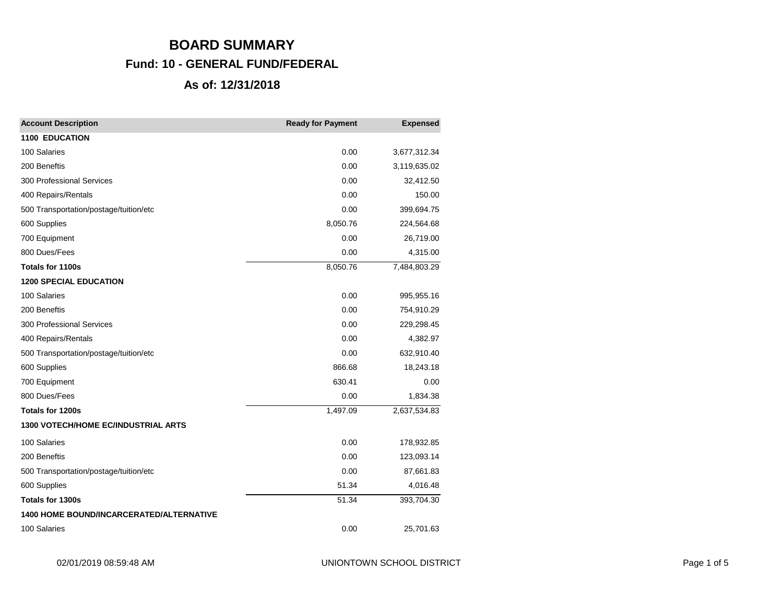# **BOARD SUMMARY Fund: 10 - GENERAL FUND/FEDERAL As of: 12/31/2018**

| <b>Account Description</b>                      | <b>Ready for Payment</b> | <b>Expensed</b> |
|-------------------------------------------------|--------------------------|-----------------|
| <b>1100 EDUCATION</b>                           |                          |                 |
| 100 Salaries                                    | 0.00                     | 3,677,312.34    |
| 200 Beneftis                                    | 0.00                     | 3,119,635.02    |
| <b>300 Professional Services</b>                | 0.00                     | 32,412.50       |
| 400 Repairs/Rentals                             | 0.00                     | 150.00          |
| 500 Transportation/postage/tuition/etc          | 0.00                     | 399,694.75      |
| 600 Supplies                                    | 8,050.76                 | 224,564.68      |
| 700 Equipment                                   | 0.00                     | 26,719.00       |
| 800 Dues/Fees                                   | 0.00                     | 4,315.00        |
| Totals for 1100s                                | 8,050.76                 | 7,484,803.29    |
| <b>1200 SPECIAL EDUCATION</b>                   |                          |                 |
| 100 Salaries                                    | 0.00                     | 995,955.16      |
| 200 Beneftis                                    | 0.00                     | 754,910.29      |
| <b>300 Professional Services</b>                | 0.00                     | 229,298.45      |
| 400 Repairs/Rentals                             | 0.00                     | 4,382.97        |
| 500 Transportation/postage/tuition/etc          | 0.00                     | 632,910.40      |
| 600 Supplies                                    | 866.68                   | 18,243.18       |
| 700 Equipment                                   | 630.41                   | 0.00            |
| 800 Dues/Fees                                   | 0.00                     | 1,834.38        |
| Totals for 1200s                                | 1,497.09                 | 2,637,534.83    |
| <b>1300 VOTECH/HOME EC/INDUSTRIAL ARTS</b>      |                          |                 |
| 100 Salaries                                    | 0.00                     | 178,932.85      |
| 200 Beneftis                                    | 0.00                     | 123,093.14      |
| 500 Transportation/postage/tuition/etc          | 0.00                     | 87,661.83       |
| 600 Supplies                                    | 51.34                    | 4,016.48        |
| Totals for 1300s                                | 51.34                    | 393,704.30      |
| <b>1400 HOME BOUND/INCARCERATED/ALTERNATIVE</b> |                          |                 |
| 100 Salaries                                    | 0.00                     | 25,701.63       |
|                                                 |                          |                 |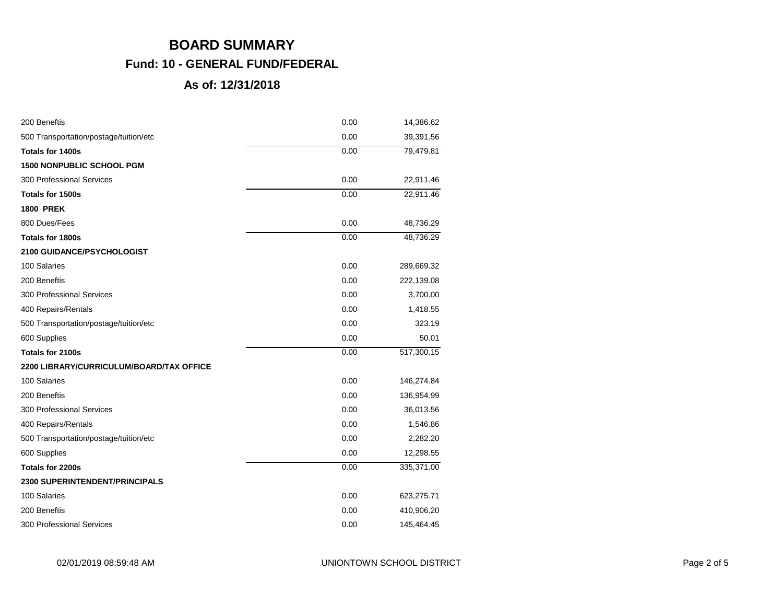| 200 Beneftis                             | 0.00 | 14,386.62  |
|------------------------------------------|------|------------|
| 500 Transportation/postage/tuition/etc   | 0.00 | 39,391.56  |
| <b>Totals for 1400s</b>                  | 0.00 | 79,479.81  |
| <b>1500 NONPUBLIC SCHOOL PGM</b>         |      |            |
| <b>300 Professional Services</b>         | 0.00 | 22,911.46  |
| Totals for 1500s                         | 0.00 | 22,911.46  |
| <b>1800 PREK</b>                         |      |            |
| 800 Dues/Fees                            | 0.00 | 48,736.29  |
| <b>Totals for 1800s</b>                  | 0.00 | 48,736.29  |
| <b>2100 GUIDANCE/PSYCHOLOGIST</b>        |      |            |
| 100 Salaries                             | 0.00 | 289,669.32 |
| 200 Beneftis                             | 0.00 | 222,139.08 |
| 300 Professional Services                | 0.00 | 3,700.00   |
| 400 Repairs/Rentals                      | 0.00 | 1,418.55   |
| 500 Transportation/postage/tuition/etc   | 0.00 | 323.19     |
| 600 Supplies                             | 0.00 | 50.01      |
| <b>Totals for 2100s</b>                  | 0.00 | 517,300.15 |
| 2200 LIBRARY/CURRICULUM/BOARD/TAX OFFICE |      |            |
| 100 Salaries                             | 0.00 | 146,274.84 |
| 200 Beneftis                             | 0.00 | 136,954.99 |
| 300 Professional Services                | 0.00 | 36,013.56  |
| 400 Repairs/Rentals                      | 0.00 | 1,546.86   |
| 500 Transportation/postage/tuition/etc   | 0.00 | 2,282.20   |
| 600 Supplies                             | 0.00 | 12,298.55  |
| Totals for 2200s                         | 0.00 | 335,371.00 |
| <b>2300 SUPERINTENDENT/PRINCIPALS</b>    |      |            |
| 100 Salaries                             | 0.00 | 623,275.71 |
| 200 Beneftis                             | 0.00 | 410,906.20 |
| 300 Professional Services                | 0.00 | 145,464.45 |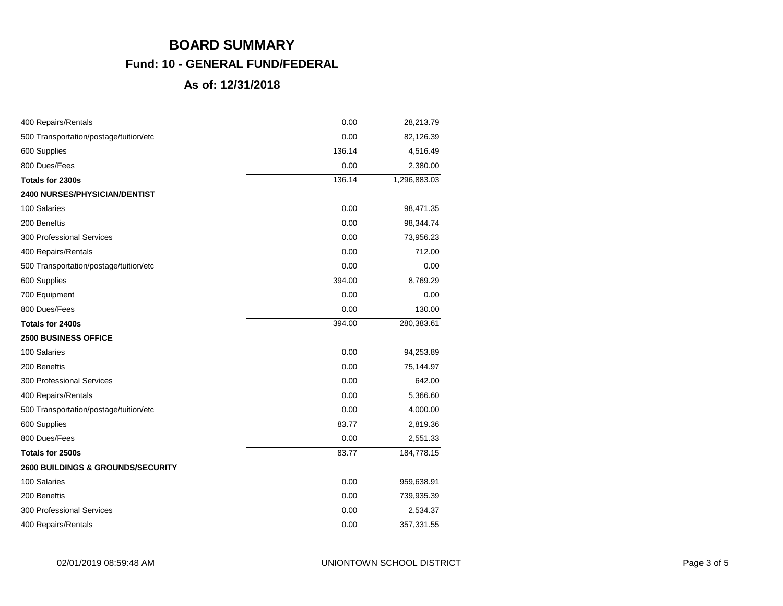| 400 Repairs/Rentals                          | 0.00   | 28,213.79    |
|----------------------------------------------|--------|--------------|
| 500 Transportation/postage/tuition/etc       | 0.00   | 82,126.39    |
| 600 Supplies                                 | 136.14 | 4,516.49     |
| 800 Dues/Fees                                | 0.00   | 2,380.00     |
| Totals for 2300s                             | 136.14 | 1,296,883.03 |
| <b>2400 NURSES/PHYSICIAN/DENTIST</b>         |        |              |
| 100 Salaries                                 | 0.00   | 98,471.35    |
| 200 Beneftis                                 | 0.00   | 98,344.74    |
| 300 Professional Services                    | 0.00   | 73,956.23    |
| 400 Repairs/Rentals                          | 0.00   | 712.00       |
| 500 Transportation/postage/tuition/etc       | 0.00   | 0.00         |
| 600 Supplies                                 | 394.00 | 8,769.29     |
| 700 Equipment                                | 0.00   | 0.00         |
| 800 Dues/Fees                                | 0.00   | 130.00       |
| Totals for 2400s                             | 394.00 | 280,383.61   |
| <b>2500 BUSINESS OFFICE</b>                  |        |              |
| 100 Salaries                                 | 0.00   | 94,253.89    |
| 200 Beneftis                                 | 0.00   | 75,144.97    |
| 300 Professional Services                    | 0.00   | 642.00       |
| 400 Repairs/Rentals                          | 0.00   | 5,366.60     |
| 500 Transportation/postage/tuition/etc       | 0.00   | 4,000.00     |
| 600 Supplies                                 | 83.77  | 2,819.36     |
| 800 Dues/Fees                                | 0.00   | 2,551.33     |
| Totals for 2500s                             | 83.77  | 184,778.15   |
| <b>2600 BUILDINGS &amp; GROUNDS/SECURITY</b> |        |              |
| 100 Salaries                                 | 0.00   | 959,638.91   |
| 200 Beneftis                                 | 0.00   | 739,935.39   |
| 300 Professional Services                    | 0.00   | 2,534.37     |
| 400 Repairs/Rentals                          | 0.00   | 357,331.55   |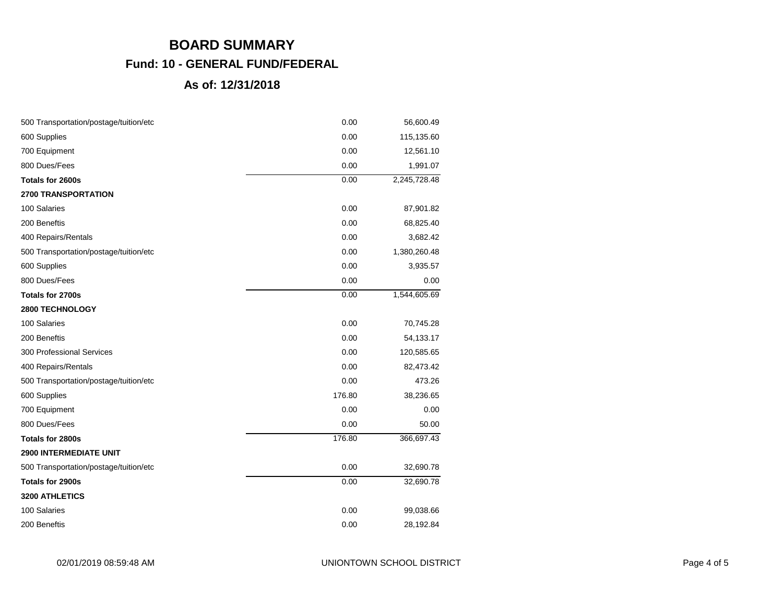| 500 Transportation/postage/tuition/etc | 0.00   | 56,600.49    |
|----------------------------------------|--------|--------------|
| 600 Supplies                           | 0.00   | 115,135.60   |
| 700 Equipment                          | 0.00   | 12,561.10    |
| 800 Dues/Fees                          | 0.00   | 1,991.07     |
| Totals for 2600s                       | 0.00   | 2,245,728.48 |
| 2700 TRANSPORTATION                    |        |              |
| 100 Salaries                           | 0.00   | 87,901.82    |
| 200 Beneftis                           | 0.00   | 68,825.40    |
| 400 Repairs/Rentals                    | 0.00   | 3,682.42     |
| 500 Transportation/postage/tuition/etc | 0.00   | 1,380,260.48 |
| 600 Supplies                           | 0.00   | 3,935.57     |
| 800 Dues/Fees                          | 0.00   | 0.00         |
| Totals for 2700s                       | 0.00   | 1,544,605.69 |
| 2800 TECHNOLOGY                        |        |              |
| 100 Salaries                           | 0.00   | 70,745.28    |
| 200 Beneftis                           | 0.00   | 54,133.17    |
| <b>300 Professional Services</b>       | 0.00   | 120,585.65   |
| 400 Repairs/Rentals                    | 0.00   | 82,473.42    |
| 500 Transportation/postage/tuition/etc | 0.00   | 473.26       |
| 600 Supplies                           | 176.80 | 38,236.65    |
| 700 Equipment                          | 0.00   | 0.00         |
| 800 Dues/Fees                          | 0.00   | 50.00        |
| Totals for 2800s                       | 176.80 | 366,697.43   |
| <b>2900 INTERMEDIATE UNIT</b>          |        |              |
| 500 Transportation/postage/tuition/etc | 0.00   | 32,690.78    |
| Totals for 2900s                       | 0.00   | 32,690.78    |
| 3200 ATHLETICS                         |        |              |
| 100 Salaries                           | 0.00   | 99,038.66    |
| 200 Beneftis                           | 0.00   | 28,192.84    |